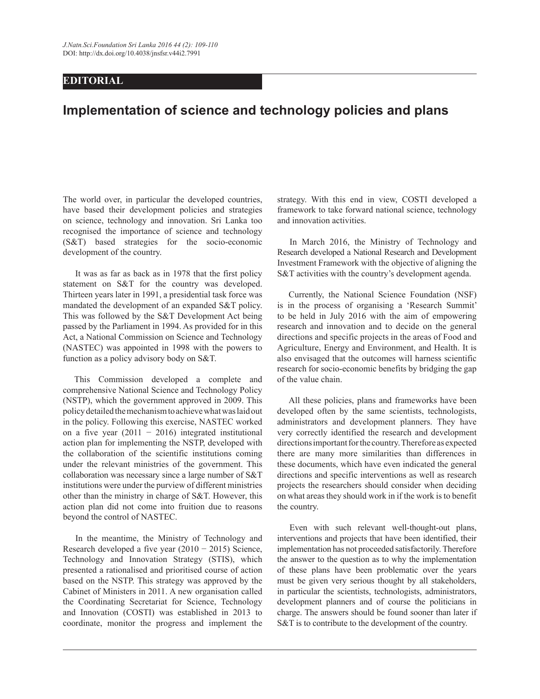## **EDITORIAL**

## **Implementation of science and technology policies and plans**

The world over, in particular the developed countries, have based their development policies and strategies on science, technology and innovation. Sri Lanka too recognised the importance of science and technology (S&T) based strategies for the socio-economic development of the country.

 It was as far as back as in 1978 that the first policy statement on S&T for the country was developed. Thirteen years later in 1991, a presidential task force was mandated the development of an expanded S&T policy. This was followed by the S&T Development Act being passed by the Parliament in 1994. As provided for in this Act, a National Commission on Science and Technology (NASTEC) was appointed in 1998 with the powers to function as a policy advisory body on S&T.

 This Commission developed a complete and comprehensive National Science and Technology Policy (NSTP), which the government approved in 2009. This policy detailed the mechanism to achieve what was laid out in the policy. Following this exercise, NASTEC worked on a five year  $(2011 - 2016)$  integrated institutional action plan for implementing the NSTP, developed with the collaboration of the scientific institutions coming under the relevant ministries of the government. This collaboration was necessary since a large number of S&T institutions were under the purview of different ministries other than the ministry in charge of S&T. However, this action plan did not come into fruition due to reasons beyond the control of NASTEC.

 In the meantime, the Ministry of Technology and Research developed a five year (2010 − 2015) Science, Technology and Innovation Strategy (STIS), which presented a rationalised and prioritised course of action based on the NSTP. This strategy was approved by the Cabinet of Ministers in 2011. A new organisation called the Coordinating Secretariat for Science, Technology and Innovation (COSTI) was established in 2013 to coordinate, monitor the progress and implement the strategy. With this end in view, COSTI developed a framework to take forward national science, technology and innovation activities.

 In March 2016, the Ministry of Technology and Research developed a National Research and Development Investment Framework with the objective of aligning the S&T activities with the country's development agenda.

 Currently, the National Science Foundation (NSF) is in the process of organising a 'Research Summit' to be held in July 2016 with the aim of empowering research and innovation and to decide on the general directions and specific projects in the areas of Food and Agriculture, Energy and Environment, and Health. It is also envisaged that the outcomes will harness scientific research for socio-economic benefits by bridging the gap of the value chain.

 All these policies, plans and frameworks have been developed often by the same scientists, technologists, administrators and development planners. They have very correctly identified the research and development directions important for the country. Therefore as expected there are many more similarities than differences in these documents, which have even indicated the general directions and specific interventions as well as research projects the researchers should consider when deciding on what areas they should work in if the work is to benefit the country.

 Even with such relevant well-thought-out plans, interventions and projects that have been identified, their implementation has not proceeded satisfactorily. Therefore the answer to the question as to why the implementation of these plans have been problematic over the years must be given very serious thought by all stakeholders, in particular the scientists, technologists, administrators, development planners and of course the politicians in charge. The answers should be found sooner than later if S&T is to contribute to the development of the country.